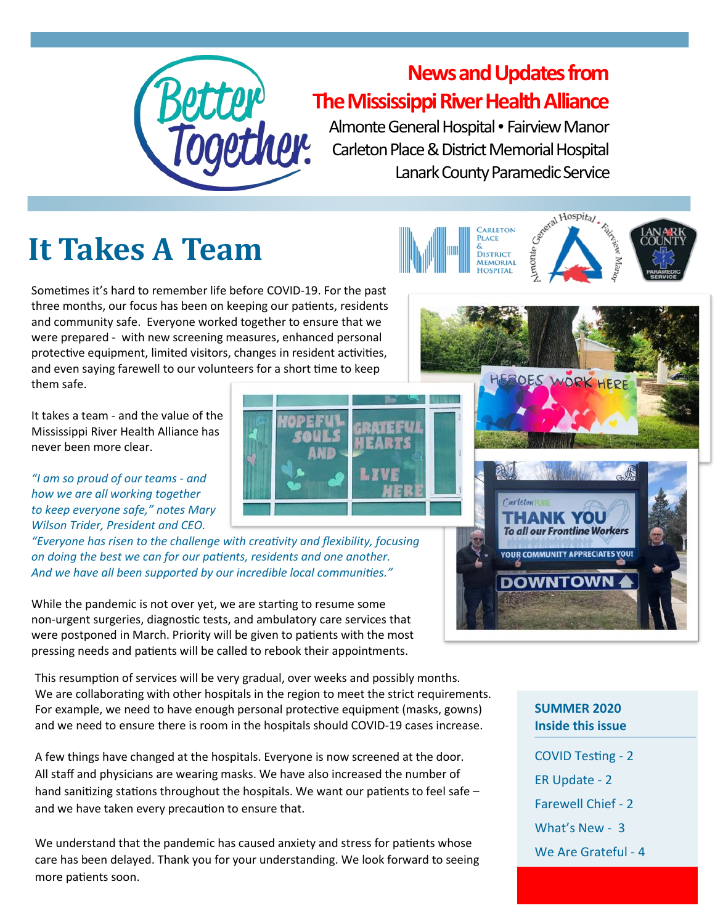

#### **News and Updates from The Mississippi River Health Alliance**

开石雕山

Almonte General Hospital • Fairview Manor Carleton Place & District Memorial Hospital Lanark County Paramedic Service

## **It Takes A Team**

Sometimes it's hard to remember life before COVID-19. For the past three months, our focus has been on keeping our patients, residents and community safe. Everyone worked together to ensure that we were prepared - with new screening measures, enhanced personal protective equipment, limited visitors, changes in resident activities, and even saying farewell to our volunteers for a short time to keep them safe.

It takes a team - and the value of the Mississippi River Health Alliance has never been more clear.

*"I am so proud of our teams - and how we are all working together to keep everyone safe," notes Mary Wilson Trider, President and CEO.* 

*"Everyone has risen to the challenge with creativity and flexibility, focusing on doing the best we can for our patients, residents and one another. And we have all been supported by our incredible local communities."*

While the pandemic is not over yet, we are starting to resume some non-urgent surgeries, diagnostic tests, and ambulatory care services that were postponed in March. Priority will be given to patients with the most pressing needs and patients will be called to rebook their appointments.

This resumption of services will be very gradual, over weeks and possibly months. We are collaborating with other hospitals in the region to meet the strict requirements. For example, we need to have enough personal protective equipment (masks, gowns) and we need to ensure there is room in the hospitals should COVID-19 cases increase.

A few things have changed at the hospitals. Everyone is now screened at the door. All staff and physicians are wearing masks. We have also increased the number of hand sanitizing stations throughout the hospitals. We want our patients to feel safe – and we have taken every precaution to ensure that.

We understand that the pandemic has caused anxiety and stress for patients whose care has been delayed. Thank you for your understanding. We look forward to seeing more patients soon.



OES WORK H



#### **SUMMER 2020 Inside this issue**

- COVID Testing 2
- ER Update 2
- Farewell Chief 2
- What's New 3
- We Are Grateful 4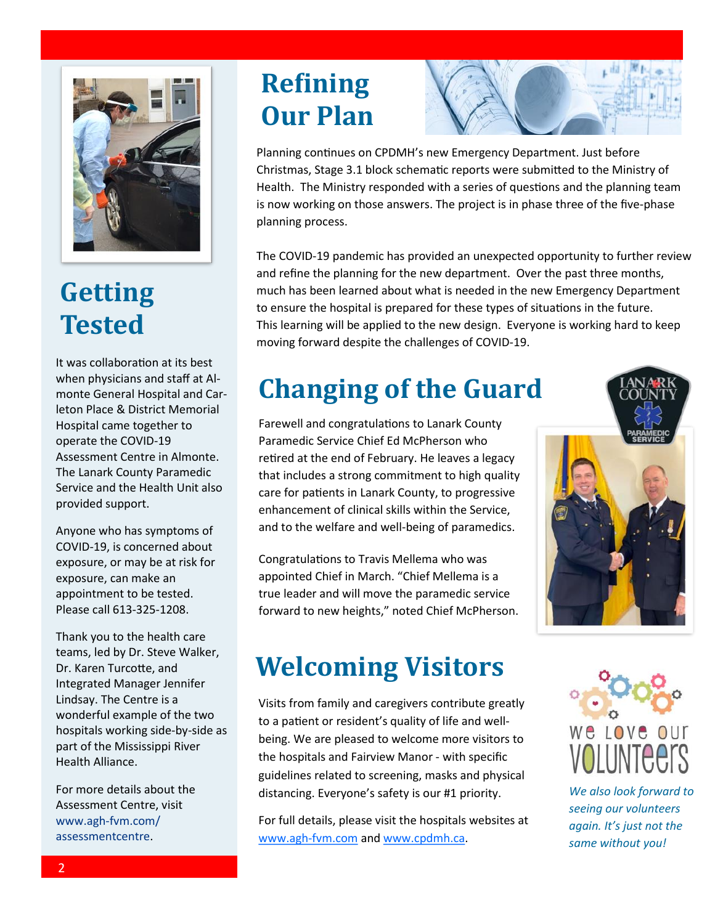

#### **Getting Tested**

It was collaboration at its best when physicians and staff at Almonte General Hospital and Carleton Place & District Memorial Hospital came together to operate the COVID-19 Assessment Centre in Almonte. The Lanark County Paramedic Service and the Health Unit also provided support.

Anyone who has symptoms of COVID-19, is concerned about exposure, or may be at risk for exposure, can make an appointment to be tested. Please call 613-325-1208.

Thank you to the health care teams, led by Dr. Steve Walker, Dr. Karen Turcotte, and Integrated Manager Jennifer Lindsay. The Centre is a wonderful example of the two hospitals working side-by-side as part of the Mississippi River Health Alliance.

For more details about the Assessment Centre, visit www.agh-fvm.com/ assessmentcentre.

#### **Refining Our Plan**

Planning continues on CPDMH's new Emergency Department. Just before Christmas, Stage 3.1 block schematic reports were submitted to the Ministry of Health. The Ministry responded with a series of questions and the planning team is now working on those answers. The project is in phase three of the five-phase planning process.

The COVID-19 pandemic has provided an unexpected opportunity to further review and refine the planning for the new department. Over the past three months, much has been learned about what is needed in the new Emergency Department to ensure the hospital is prepared for these types of situations in the future. This learning will be applied to the new design. Everyone is working hard to keep moving forward despite the challenges of COVID-19.

#### **Changing of the Guard**

Farewell and congratulations to Lanark County Paramedic Service Chief Ed McPherson who retired at the end of February. He leaves a legacy that includes a strong commitment to high quality care for patients in Lanark County, to progressive enhancement of clinical skills within the Service, and to the welfare and well-being of paramedics.

Congratulations to Travis Mellema who was appointed Chief in March. "Chief Mellema is a true leader and will move the paramedic service forward to new heights," noted Chief McPherson.



#### **Welcoming Visitors**

Visits from family and caregivers contribute greatly to a patient or resident's quality of life and wellbeing. We are pleased to welcome more visitors to the hospitals and Fairview Manor - with specific guidelines related to screening, masks and physical distancing. Everyone's safety is our #1 priority.

For full details, please visit the hospitals websites at [www.agh](http://www.agh-fvm.com)-fvm.com and [www.cpdmh.ca.](http://www.cpdmh.ca)



*We also look forward to seeing our volunteers again. It's just not the same without you!*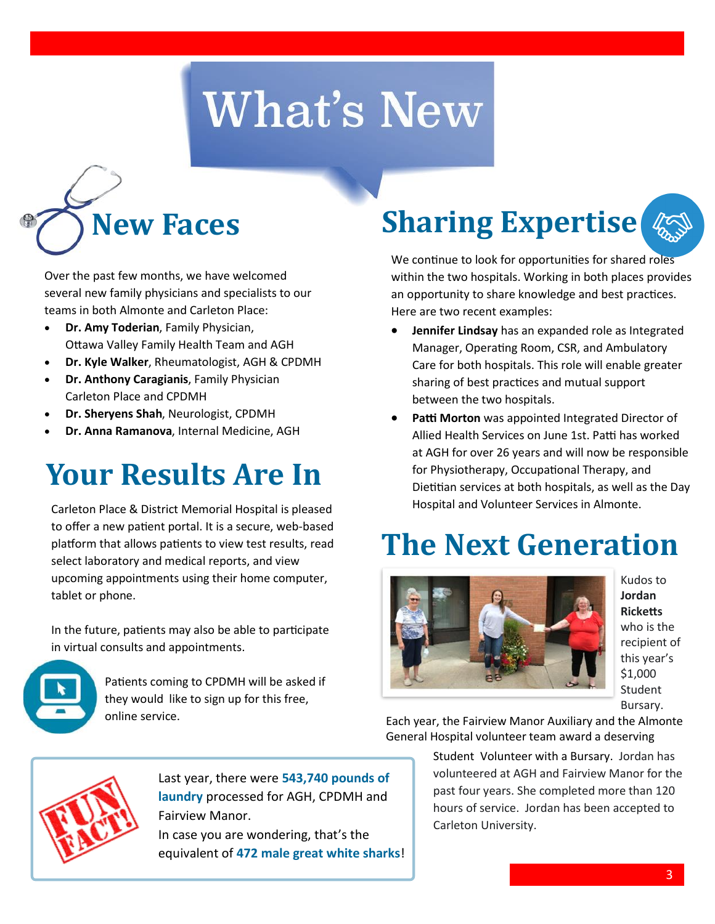# **What's New**



Over the past few months, we have welcomed several new family physicians and specialists to our teams in both Almonte and Carleton Place:

- **Dr. Amy Toderian**, Family Physician, Ottawa Valley Family Health Team and AGH
- **Dr. Kyle Walker**, Rheumatologist, AGH & CPDMH
- **Dr. Anthony Caragianis**, Family Physician Carleton Place and CPDMH
- **Dr. Sheryens Shah**, Neurologist, CPDMH
- **Dr. Anna Ramanova**, Internal Medicine, AGH

#### **Your Results Are In**

Carleton Place & District Memorial Hospital is pleased to offer a new patient portal. It is a secure, web-based platform that allows patients to view test results, read select laboratory and medical reports, and view upcoming appointments using their home computer, tablet or phone.

In the future, patients may also be able to participate in virtual consults and appointments.



Patients coming to CPDMH will be asked if they would like to sign up for this free, online service.

# **Sharing Expertise**

We continue to look for opportunities for shared roles within the two hospitals. Working in both places provides an opportunity to share knowledge and best practices. Here are two recent examples:

- **Jennifer Lindsay** has an expanded role as Integrated Manager, Operating Room, CSR, and Ambulatory Care for both hospitals. This role will enable greater sharing of best practices and mutual support between the two hospitals.
- **Patti Morton** was appointed Integrated Director of Allied Health Services on June 1st. Patti has worked at AGH for over 26 years and will now be responsible for Physiotherapy, Occupational Therapy, and Dietitian services at both hospitals, as well as the Day Hospital and Volunteer Services in Almonte.

### **The Next Generation**



Kudos to **Jordan Ricketts**  who is the recipient of this year's \$1,000 Student Bursary.

Each year, the Fairview Manor Auxiliary and the Almonte General Hospital volunteer team award a deserving

Student Volunteer with a Bursary. Jordan has volunteered at AGH and Fairview Manor for the past four years. She completed more than 120 hours of service. Jordan has been accepted to Carleton University.



Last year, there were **543,740 pounds of laundry** processed for AGH, CPDMH and Fairview Manor.

In case you are wondering, that's the equivalent of **472 male great white sharks**!